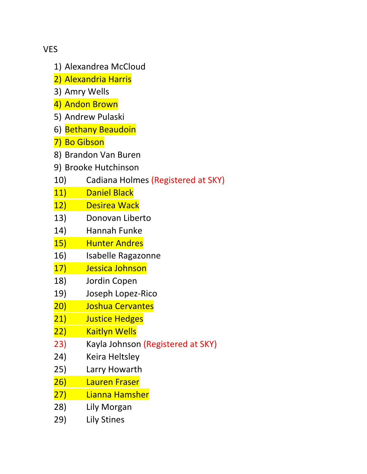VES

- 1) Alexandrea McCloud
- 2) Alexandria Harris
- 3) Amry Wells
- 4) Andon Brown
- 5) Andrew Pulaski
- 6) Bethany Beaudoin
- 7) Bo Gibson
- 8) Brandon Van Buren
- 9) Brooke Hutchinson
- 10) Cadiana Holmes (Registered at SKY)
- 11) Daniel Black
- 12) Desirea Wack
- 13) Donovan Liberto
- 14) Hannah Funke
- 15) Hunter Andres
- 16) Isabelle Ragazonne
- 17) Jessica Johnson
- 18) Jordin Copen
- 19) Joseph Lopez‐Rico
- 20) Joshua Cervantes
- 21) Justice Hedges
- 22) Kaitlyn Wells
- 23) Kayla Johnson (Registered at SKY)
- 24) Keira Heltsley
- 25) Larry Howarth
- 26) Lauren Fraser
- 27) Lianna Hamsher
- 28) Lily Morgan
- 29) Lily Stines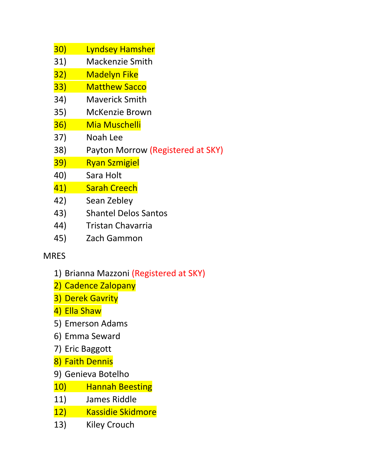| 30)        | <b>Lyndsey Hamsher</b>            |
|------------|-----------------------------------|
| 31)        | <b>Mackenzie Smith</b>            |
| 32)        | <b>Madelyn Fike</b>               |
| 33)        | <b>Matthew Sacco</b>              |
| 34)        | <b>Maverick Smith</b>             |
| 35)        | McKenzie Brown                    |
| 36)        | <b>Mia Muschelli</b>              |
| 37)        | Noah Lee                          |
| 38)        | Payton Morrow (Registered at SKY) |
| <u>39)</u> | <b>Ryan Szmigiel</b>              |
| 40)        | Sara Holt                         |
| 41)        | <b>Sarah Creech</b>               |
| 42)        | Sean Zebley                       |
| 43)        | <b>Shantel Delos Santos</b>       |
|            |                                   |

- 44) Tristan Chavarria
- 45) Zach Gammon

## MRES

- 1) Brianna Mazzoni (Registered at SKY)
- 2) Cadence Zalopany
- 3) Derek Gavrity
- 4) Ella Shaw
- 5) Emerson Adams
- 6) Emma Seward
- 7) Eric Baggott
- 8) Faith Dennis
- 9) Genieva Botelho
- 10) Hannah Beesting<br>11) James Riddle
- James Riddle
- 12) Kassidie Skidmore
- 13) Kiley Crouch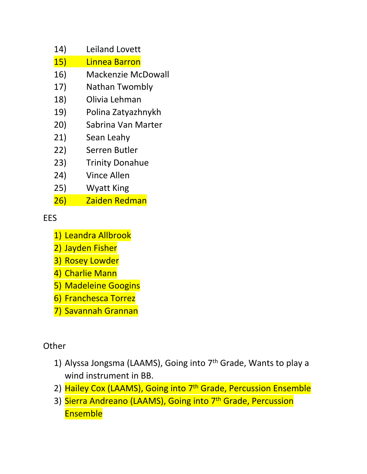- 14) Leiland Lovett
- 15) Linnea Barron
- 16) Mackenzie McDowall
- 17) Nathan Twombly
- 18) Olivia Lehman
- 19) Polina Zatyazhnykh
- 20) Sabrina Van Marter
- 21) Sean Leahy
- 22) Serren Butler
- 23) Trinity Donahue
- 24) Vince Allen
- 25) Wyatt King
- 26) Zaiden Redman

EES

- 1) Leandra Allbrook
- 2) Jayden Fisher
- 3) Rosey Lowder
- 4) Charlie Mann
- 5) Madeleine Googins
- 6) Franchesca Torrez
- 7) Savannah Grannan

**Other** 

- 1) Alyssa Jongsma (LAAMS), Going into 7th Grade, Wants to play a wind instrument in BB.
- 2) Hailey Cox (LAAMS), Going into 7<sup>th</sup> Grade, Percussion Ensemble
- 3) Sierra Andreano (LAAMS), Going into 7<sup>th</sup> Grade, Percussion **Ensemble**